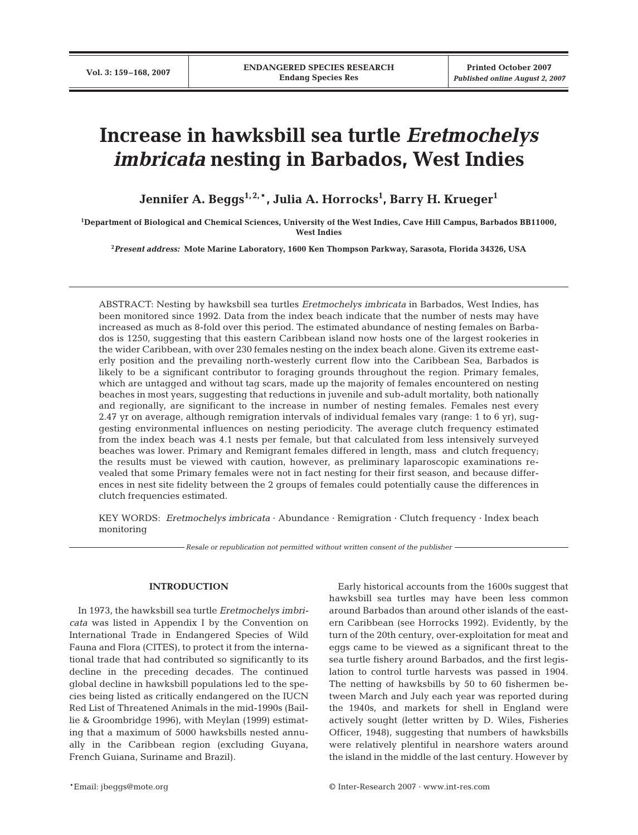# **Increase in hawksbill sea turtle** *Eretmochelys imbricata* **nesting in Barbados, West Indies**

**Jennifer A. Beggs1, 2,**\***, Julia A. Horrocks1 , Barry H. Krueger1**

**1 Department of Biological and Chemical Sciences, University of the West Indies, Cave Hill Campus, Barbados BB11000, West Indies**

**2** *Present address:* **Mote Marine Laboratory, 1600 Ken Thompson Parkway, Sarasota, Florida 34326, USA**

ABSTRACT: Nesting by hawksbill sea turtles *Eretmochelys imbricata* in Barbados, West Indies, has been monitored since 1992. Data from the index beach indicate that the number of nests may have increased as much as 8-fold over this period. The estimated abundance of nesting females on Barbados is 1250, suggesting that this eastern Caribbean island now hosts one of the largest rookeries in the wider Caribbean, with over 230 females nesting on the index beach alone. Given its extreme easterly position and the prevailing north-westerly current flow into the Caribbean Sea, Barbados is likely to be a significant contributor to foraging grounds throughout the region. Primary females, which are untagged and without tag scars, made up the majority of females encountered on nesting beaches in most years, suggesting that reductions in juvenile and sub-adult mortality, both nationally and regionally, are significant to the increase in number of nesting females. Females nest every 2.47 yr on average, although remigration intervals of individual females vary (range: 1 to 6 yr), suggesting environmental influences on nesting periodicity. The average clutch frequency estimated from the index beach was 4.1 nests per female, but that calculated from less intensively surveyed beaches was lower. Primary and Remigrant females differed in length, mass and clutch frequency; the results must be viewed with caution, however, as preliminary laparoscopic examinations revealed that some Primary females were not in fact nesting for their first season, and because differences in nest site fidelity between the 2 groups of females could potentially cause the differences in clutch frequencies estimated.

KEY WORDS: *Eretmochelys imbricata* · Abundance · Remigration · Clutch frequency · Index beach monitoring

*Resale or republication not permitted without written consent of the publisher*

# **INTRODUCTION**

In 1973, the hawksbill sea turtle *Eretmochelys imbricata* was listed in Appendix I by the Convention on International Trade in Endangered Species of Wild Fauna and Flora (CITES), to protect it from the international trade that had contributed so significantly to its decline in the preceding decades. The continued global decline in hawksbill populations led to the species being listed as critically endangered on the IUCN Red List of Threatened Animals in the mid-1990s (Baillie & Groombridge 1996), with Meylan (1999) estimating that a maximum of 5000 hawksbills nested annually in the Caribbean region (excluding Guyana, French Guiana, Suriname and Brazil).

Early historical accounts from the 1600s suggest that hawksbill sea turtles may have been less common around Barbados than around other islands of the eastern Caribbean (see Horrocks 1992). Evidently, by the turn of the 20th century, over-exploitation for meat and eggs came to be viewed as a significant threat to the sea turtle fishery around Barbados, and the first legislation to control turtle harvests was passed in 1904. The netting of hawksbills by 50 to 60 fishermen between March and July each year was reported during the 1940s, and markets for shell in England were actively sought (letter written by D. Wiles, Fisheries Officer, 1948), suggesting that numbers of hawksbills were relatively plentiful in nearshore waters around the island in the middle of the last century. However by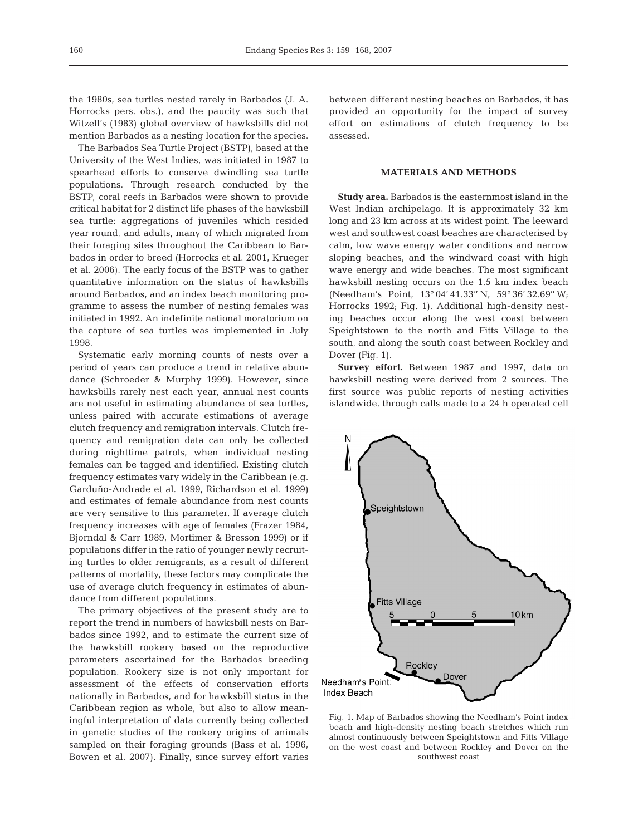the 1980s, sea turtles nested rarely in Barbados (J. A. Horrocks pers. obs.), and the paucity was such that Witzell's (1983) global overview of hawksbills did not mention Barbados as a nesting location for the species.

The Barbados Sea Turtle Project (BSTP), based at the University of the West Indies, was initiated in 1987 to spearhead efforts to conserve dwindling sea turtle populations. Through research conducted by the BSTP, coral reefs in Barbados were shown to provide critical habitat for 2 distinct life phases of the hawksbill sea turtle: aggregations of juveniles which resided year round, and adults, many of which migrated from their foraging sites throughout the Caribbean to Barbados in order to breed (Horrocks et al. 2001, Krueger et al. 2006). The early focus of the BSTP was to gather quantitative information on the status of hawksbills around Barbados, and an index beach monitoring programme to assess the number of nesting females was initiated in 1992. An indefinite national moratorium on the capture of sea turtles was implemented in July 1998.

Systematic early morning counts of nests over a period of years can produce a trend in relative abundance (Schroeder & Murphy 1999). However, since hawksbills rarely nest each year, annual nest counts are not useful in estimating abundance of sea turtles, unless paired with accurate estimations of average clutch frequency and remigration intervals. Clutch frequency and remigration data can only be collected during nighttime patrols, when individual nesting females can be tagged and identified. Existing clutch frequency estimates vary widely in the Caribbean (e.g. Garduño-Andrade et al. 1999, Richardson et al. 1999) and estimates of female abundance from nest counts are very sensitive to this parameter. If average clutch frequency increases with age of females (Frazer 1984, Bjorndal & Carr 1989, Mortimer & Bresson 1999) or if populations differ in the ratio of younger newly recruiting turtles to older remigrants, as a result of different patterns of mortality, these factors may complicate the use of average clutch frequency in estimates of abundance from different populations.

The primary objectives of the present study are to report the trend in numbers of hawksbill nests on Barbados since 1992, and to estimate the current size of the hawksbill rookery based on the reproductive parameters ascertained for the Barbados breeding population. Rookery size is not only important for assessment of the effects of conservation efforts nationally in Barbados, and for hawksbill status in the Caribbean region as whole, but also to allow meaningful interpretation of data currently being collected in genetic studies of the rookery origins of animals sampled on their foraging grounds (Bass et al. 1996, Bowen et al. 2007). Finally, since survey effort varies between different nesting beaches on Barbados, it has provided an opportunity for the impact of survey effort on estimations of clutch frequency to be assessed.

# **MATERIALS AND METHODS**

**Study area.** Barbados is the easternmost island in the West Indian archipelago. It is approximately 32 km long and 23 km across at its widest point. The leeward west and southwest coast beaches are characterised by calm, low wave energy water conditions and narrow sloping beaches, and the windward coast with high wave energy and wide beaches. The most significant hawksbill nesting occurs on the 1.5 km index beach (Needham's Point, 13° 04' 41.33'' N, 59° 36' 32.69'' W; Horrocks 1992; Fig. 1). Additional high-density nesting beaches occur along the west coast between Speightstown to the north and Fitts Village to the south, and along the south coast between Rockley and Dover (Fig. 1).

**Survey effort.** Between 1987 and 1997, data on hawksbill nesting were derived from 2 sources. The first source was public reports of nesting activities islandwide, through calls made to a 24 h operated cell



Fig. 1. Map of Barbados showing the Needham's Point index beach and high-density nesting beach stretches which run almost continuously between Speightstown and Fitts Village on the west coast and between Rockley and Dover on the southwest coast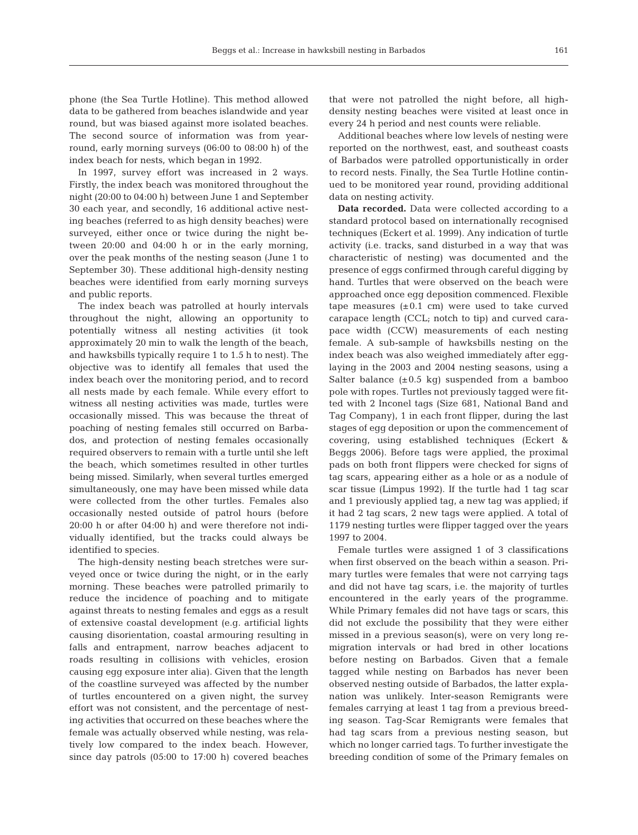phone (the Sea Turtle Hotline). This method allowed data to be gathered from beaches islandwide and year round, but was biased against more isolated beaches. The second source of information was from yearround, early morning surveys (06:00 to 08:00 h) of the index beach for nests, which began in 1992.

In 1997, survey effort was increased in 2 ways. Firstly, the index beach was monitored throughout the night (20:00 to 04:00 h) between June 1 and September 30 each year, and secondly, 16 additional active nesting beaches (referred to as high density beaches) were surveyed, either once or twice during the night between 20:00 and 04:00 h or in the early morning, over the peak months of the nesting season (June 1 to September 30). These additional high-density nesting beaches were identified from early morning surveys and public reports.

The index beach was patrolled at hourly intervals throughout the night, allowing an opportunity to potentially witness all nesting activities (it took approximately 20 min to walk the length of the beach, and hawksbills typically require 1 to 1.5 h to nest). The objective was to identify all females that used the index beach over the monitoring period, and to record all nests made by each female. While every effort to witness all nesting activities was made, turtles were occasionally missed. This was because the threat of poaching of nesting females still occurred on Barbados, and protection of nesting females occasionally required observers to remain with a turtle until she left the beach, which sometimes resulted in other turtles being missed. Similarly, when several turtles emerged simultaneously, one may have been missed while data were collected from the other turtles. Females also occasionally nested outside of patrol hours (before 20:00 h or after 04:00 h) and were therefore not individually identified, but the tracks could always be identified to species.

The high-density nesting beach stretches were surveyed once or twice during the night, or in the early morning. These beaches were patrolled primarily to reduce the incidence of poaching and to mitigate against threats to nesting females and eggs as a result of extensive coastal development (e.g. artificial lights causing disorientation, coastal armouring resulting in falls and entrapment, narrow beaches adjacent to roads resulting in collisions with vehicles, erosion causing egg exposure inter alia). Given that the length of the coastline surveyed was affected by the number of turtles encountered on a given night, the survey effort was not consistent, and the percentage of nesting activities that occurred on these beaches where the female was actually observed while nesting, was relatively low compared to the index beach. However, since day patrols (05:00 to 17:00 h) covered beaches

that were not patrolled the night before, all highdensity nesting beaches were visited at least once in every 24 h period and nest counts were reliable.

Additional beaches where low levels of nesting were reported on the northwest, east, and southeast coasts of Barbados were patrolled opportunistically in order to record nests. Finally, the Sea Turtle Hotline continued to be monitored year round, providing additional data on nesting activity.

**Data recorded.** Data were collected according to a standard protocol based on internationally recognised techniques (Eckert et al. 1999). Any indication of turtle activity (i.e. tracks, sand disturbed in a way that was characteristic of nesting) was documented and the presence of eggs confirmed through careful digging by hand. Turtles that were observed on the beach were approached once egg deposition commenced. Flexible tape measures  $(\pm 0.1 \text{ cm})$  were used to take curved carapace length (CCL; notch to tip) and curved carapace width (CCW) measurements of each nesting female. A sub-sample of hawksbills nesting on the index beach was also weighed immediately after egglaying in the 2003 and 2004 nesting seasons, using a Salter balance  $(\pm 0.5 \text{ kg})$  suspended from a bamboo pole with ropes. Turtles not previously tagged were fitted with 2 Inconel tags (Size 681, National Band and Tag Company), 1 in each front flipper, during the last stages of egg deposition or upon the commencement of covering, using established techniques (Eckert & Beggs 2006). Before tags were applied, the proximal pads on both front flippers were checked for signs of tag scars, appearing either as a hole or as a nodule of scar tissue (Limpus 1992). If the turtle had 1 tag scar and 1 previously applied tag, a new tag was applied; if it had 2 tag scars, 2 new tags were applied. A total of 1179 nesting turtles were flipper tagged over the years 1997 to 2004.

Female turtles were assigned 1 of 3 classifications when first observed on the beach within a season. Primary turtles were females that were not carrying tags and did not have tag scars, i.e. the majority of turtles encountered in the early years of the programme. While Primary females did not have tags or scars, this did not exclude the possibility that they were either missed in a previous season(s), were on very long remigration intervals or had bred in other locations before nesting on Barbados. Given that a female tagged while nesting on Barbados has never been observed nesting outside of Barbados, the latter explanation was unlikely. Inter-season Remigrants were females carrying at least 1 tag from a previous breeding season. Tag-Scar Remigrants were females that had tag scars from a previous nesting season, but which no longer carried tags. To further investigate the breeding condition of some of the Primary females on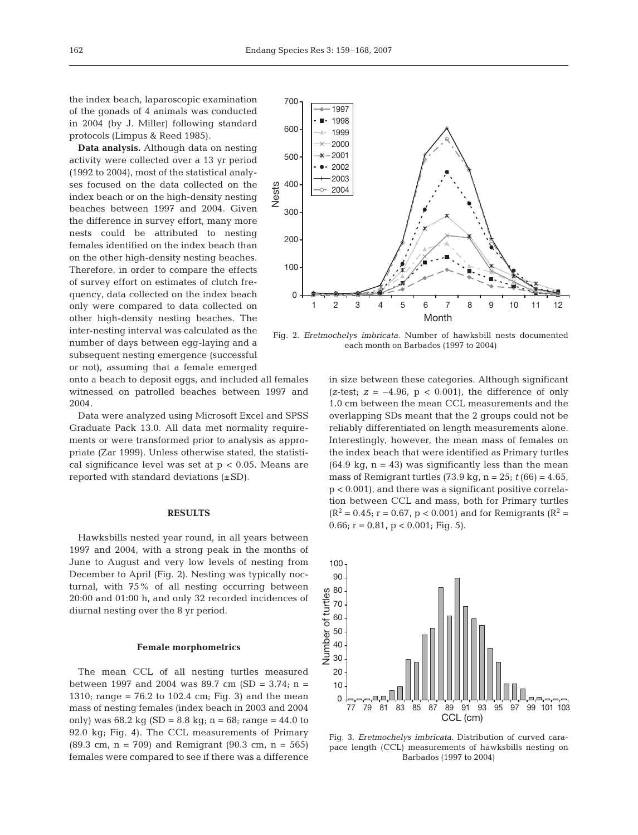the index beach, laparoscopic examination of the gonads of 4 animals was conducted in 2004 (by J. Miller) following standard protocols (Limpus & Reed 1985).

**Data analysis.** Although data on nesting activity were collected over a 13 yr period (1992 to 2004), most of the statistical analyses focused on the data collected on the index beach or on the high-density nesting beaches between 1997 and 2004. Given the difference in survey effort, many more nests could be attributed to nesting females identified on the index beach than on the other high-density nesting beaches. Therefore, in order to compare the effects of survey effort on estimates of clutch frequency, data collected on the index beach only were compared to data collected on other high-density nesting beaches. The inter-nesting interval was calculated as the number of days between egg-laying and a subsequent nesting emergence (successful or not), assuming that a female emerged

onto a beach to deposit eggs, and included all females witnessed on patrolled beaches between 1997 and 2004.

Data were analyzed using Microsoft Excel and SPSS Graduate Pack 13.0. All data met normality requirements or were transformed prior to analysis as appropriate (Zar 1999). Unless otherwise stated, the statistical significance level was set at  $p < 0.05$ . Means are reported with standard deviations  $(\pm SD)$ .

## **RESULTS**

Hawksbills nested year round, in all years between 1997 and 2004, with a strong peak in the months of June to August and very low levels of nesting from December to April (Fig. 2). Nesting was typically nocturnal, with 75% of all nesting occurring between 20:00 and 01:00 h, and only 32 recorded incidences of diurnal nesting over the 8 yr period.

## **Female morphometrics**

The mean CCL of all nesting turtles measured between 1997 and 2004 was 89.7 cm (SD = 3.74; n = 1310; range =  $76.2$  to 102.4 cm; Fig. 3) and the mean mass of nesting females (index beach in 2003 and 2004 only) was  $68.2 \text{ kg}$  (SD =  $8.8 \text{ kg}$ ; n =  $68$ ; range =  $44.0 \text{ to}$ 92.0 kg; Fig. 4). The CCL measurements of Primary  $(89.3 \text{ cm}, \text{ n} = 709)$  and Remigrant  $(90.3 \text{ cm}, \text{ n} = 565)$ females were compared to see if there was a difference



Fig. 2. *Eretmochelys imbricata*. Number of hawksbill nests documented each month on Barbados (1997 to 2004)

in size between these categories. Although significant (*z*-test;  $z = -4.96$ ,  $p < 0.001$ ), the difference of only 1.0 cm between the mean CCL measurements and the overlapping SDs meant that the 2 groups could not be reliably differentiated on length measurements alone. Interestingly, however, the mean mass of females on the index beach that were identified as Primary turtles  $(64.9 \text{ kg}, n = 43)$  was significantly less than the mean mass of Remigrant turtles  $(73.9 \text{ kg}, n = 25; t (66) = 4.65,$ p < 0.001), and there was a significant positive correlation between CCL and mass, both for Primary turtles  $(R^2 = 0.45; r = 0.67, p < 0.001)$  and for Remigrants  $(R^2 = 0.45; r = 0.67, p < 0.001)$ 0.66;  $r = 0.81$ ,  $p < 0.001$ ; Fig. 5).



Fig. 3. *Eretmochelys imbricata*. Distribution of curved carapace length (CCL) measurements of hawksbills nesting on Barbados (1997 to 2004)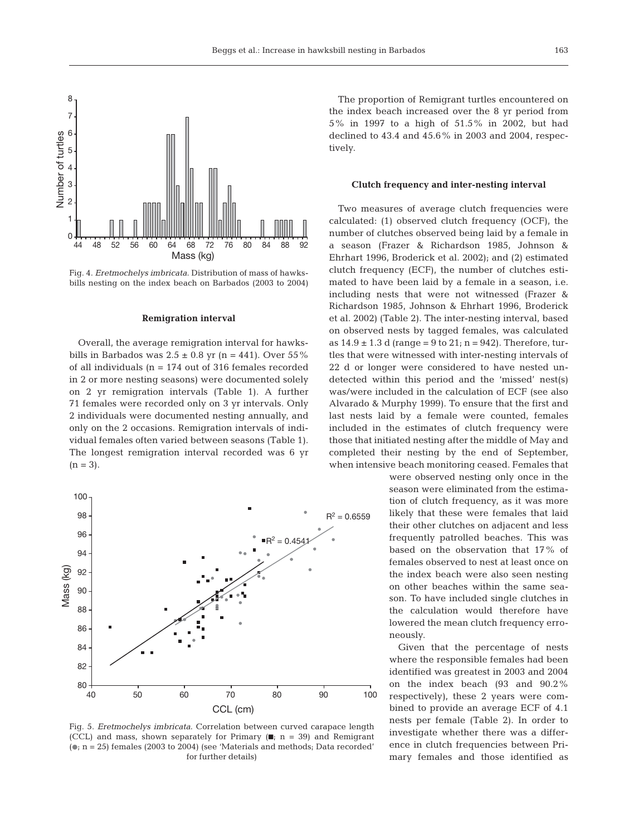

Fig. 4. *Eretmochelys imbricata*. Distribution of mass of hawksbills nesting on the index beach on Barbados (2003 to 2004)

#### **Remigration interval**

Overall, the average remigration interval for hawksbills in Barbados was  $2.5 \pm 0.8$  yr (n = 441). Over 55% of all individuals (n = 174 out of 316 females recorded in 2 or more nesting seasons) were documented solely on 2 yr remigration intervals (Table 1). A further 71 females were recorded only on 3 yr intervals. Only 2 individuals were documented nesting annually, and only on the 2 occasions. Remigration intervals of individual females often varied between seasons (Table 1). The longest remigration interval recorded was 6 yr  $(n = 3)$ .



Fig. 5. *Eretmochelys imbricata*. Correlation between curved carapace length (CCL) and mass, shown separately for Primary (■; n = 39) and Remigrant  $(n; n = 25)$  females (2003 to 2004) (see 'Materials and methods; Data recorded' for further details)

The proportion of Remigrant turtles encountered on the index beach increased over the 8 yr period from 5% in 1997 to a high of 51.5% in 2002, but had declined to 43.4 and 45.6% in 2003 and 2004, respectively.

#### **Clutch frequency and inter-nesting interval**

Two measures of average clutch frequencies were calculated: (1) observed clutch frequency (OCF), the number of clutches observed being laid by a female in a season (Frazer & Richardson 1985, Johnson & Ehrhart 1996, Broderick et al. 2002); and (2) estimated clutch frequency (ECF), the number of clutches estimated to have been laid by a female in a season, i.e. including nests that were not witnessed (Frazer & Richardson 1985, Johnson & Ehrhart 1996, Broderick et al. 2002) (Table 2). The inter-nesting interval, based on observed nests by tagged females, was calculated as  $14.9 \pm 1.3$  d (range = 9 to  $21$ ; n = 942). Therefore, turtles that were witnessed with inter-nesting intervals of 22 d or longer were considered to have nested undetected within this period and the 'missed' nest(s) was/were included in the calculation of ECF (see also Alvarado & Murphy 1999). To ensure that the first and last nests laid by a female were counted, females included in the estimates of clutch frequency were those that initiated nesting after the middle of May and completed their nesting by the end of September, when intensive beach monitoring ceased. Females that

> were observed nesting only once in the season were eliminated from the estimation of clutch frequency, as it was more likely that these were females that laid their other clutches on adjacent and less frequently patrolled beaches. This was based on the observation that 17% of females observed to nest at least once on the index beach were also seen nesting on other beaches within the same season. To have included single clutches in the calculation would therefore have lowered the mean clutch frequency erroneously.

> Given that the percentage of nests where the responsible females had been identified was greatest in 2003 and 2004 on the index beach (93 and 90.2% respectively), these 2 years were combined to provide an average ECF of 4.1 nests per female (Table 2). In order to investigate whether there was a difference in clutch frequencies between Primary females and those identified as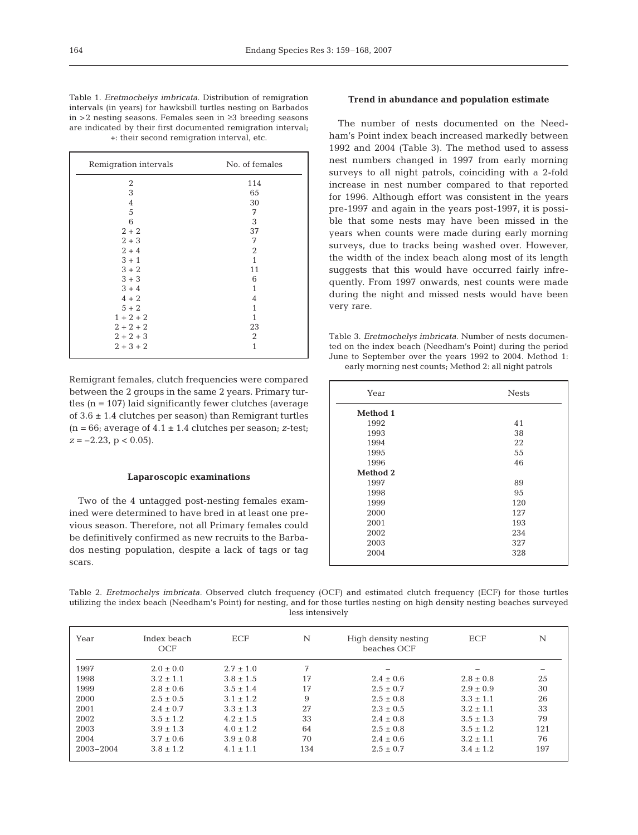Table 1. *Eretmochelys imbricata.* Distribution of remigration intervals (in years) for hawksbill turtles nesting on Barbados in >2 nesting seasons. Females seen in ≥3 breeding seasons are indicated by their first documented remigration interval; +: their second remigration interval, etc.

| Remigration intervals | No. of females |  |
|-----------------------|----------------|--|
| 2                     | 114            |  |
| $\sqrt{3}$            | 65             |  |
| $\sqrt{4}$            | 30             |  |
| 5                     | 7              |  |
| 6                     | 3              |  |
| $2 + 2$               | 37             |  |
| $2 + 3$               | 7              |  |
| $2 + 4$               | 2              |  |
| $3 + 1$               | $\mathbf{1}$   |  |
| $3 + 2$               | 11             |  |
| $3 + 3$               | 6              |  |
| $3 + 4$               | 1              |  |
| $4 + 2$               | 4              |  |
| $5 + 2$               | 1              |  |
| $1 + 2 + 2$           | 1              |  |
| $2 + 2 + 2$           | 23             |  |
| $2 + 2 + 3$           | 2              |  |
| $2 + 3 + 2$           | 1              |  |

Remigrant females, clutch frequencies were compared between the 2 groups in the same 2 years. Primary turtles  $(n = 107)$  laid significantly fewer clutches (average of  $3.6 \pm 1.4$  clutches per season) than Remigrant turtles  $(n = 66;$  average of  $4.1 \pm 1.4$  clutches per season; *z*-test;  $z = -2.23$ ,  $p < 0.05$ ).

#### **Laparoscopic examinations**

Two of the 4 untagged post-nesting females examined were determined to have bred in at least one previous season. Therefore, not all Primary females could be definitively confirmed as new recruits to the Barbados nesting population, despite a lack of tags or tag scars.

# **Trend in abundance and population estimate**

The number of nests documented on the Needham's Point index beach increased markedly between 1992 and 2004 (Table 3). The method used to assess nest numbers changed in 1997 from early morning surveys to all night patrols, coinciding with a 2-fold increase in nest number compared to that reported for 1996. Although effort was consistent in the years pre-1997 and again in the years post-1997, it is possible that some nests may have been missed in the years when counts were made during early morning surveys, due to tracks being washed over. However, the width of the index beach along most of its length suggests that this would have occurred fairly infrequently. From 1997 onwards, nest counts were made during the night and missed nests would have been very rare.

Table 3. *Eretmochelys imbricata.* Number of nests documented on the index beach (Needham's Point) during the period June to September over the years 1992 to 2004. Method 1: early morning nest counts; Method 2: all night patrols

| Year     | <b>Nests</b> |  |
|----------|--------------|--|
| Method 1 |              |  |
| 1992     | 41           |  |
| 1993     | 38           |  |
| 1994     | 22           |  |
| 1995     | 55           |  |
| 1996     | 46           |  |
| Method 2 |              |  |
| 1997     | 89           |  |
| 1998     | 95           |  |
| 1999     | 120          |  |
| 2000     | 127          |  |
| 2001     | 193          |  |
| 2002     | 234          |  |
| 2003     | 327          |  |
| 2004     | 328          |  |

Table 2. *Eretmochelys imbricata.* Observed clutch frequency (OCF) and estimated clutch frequency (ECF) for those turtles utilizing the index beach (Needham's Point) for nesting, and for those turtles nesting on high density nesting beaches surveyed less intensively

| Year      | Index beach<br>OCF | ECF           | N   | High density nesting<br>beaches OCF | ECF           | N   |
|-----------|--------------------|---------------|-----|-------------------------------------|---------------|-----|
| 1997      | $2.0 \pm 0.0$      | $2.7 \pm 1.0$ | 7   |                                     | -             |     |
| 1998      | $3.2 \pm 1.1$      | $3.8 \pm 1.5$ | 17  | $2.4 \pm 0.6$                       | $2.8 \pm 0.8$ | 25  |
| 1999      | $2.8 \pm 0.6$      | $3.5 \pm 1.4$ | 17  | $2.5 \pm 0.7$                       | $2.9 \pm 0.9$ | 30  |
| 2000      | $2.5 \pm 0.5$      | $3.1 \pm 1.2$ | 9   | $2.5 \pm 0.8$                       | $3.3 \pm 1.1$ | 26  |
| 2001      | $2.4 \pm 0.7$      | $3.3 \pm 1.3$ | 27  | $2.3 \pm 0.5$                       | $3.2 \pm 1.1$ | 33  |
| 2002      | $3.5 \pm 1.2$      | $4.2 \pm 1.5$ | 33  | $2.4 \pm 0.8$                       | $3.5 \pm 1.3$ | 79  |
| 2003      | $3.9 \pm 1.3$      | $4.0 \pm 1.2$ | 64  | $2.5 \pm 0.8$                       | $3.5 \pm 1.2$ | 121 |
| 2004      | $3.7 \pm 0.6$      | $3.9 \pm 0.8$ | 70  | $2.4 \pm 0.6$                       | $3.2 \pm 1.1$ | 76  |
| 2003-2004 | $3.8 \pm 1.2$      | $4.1 \pm 1.1$ | 134 | $2.5 \pm 0.7$                       | $3.4 \pm 1.2$ | 197 |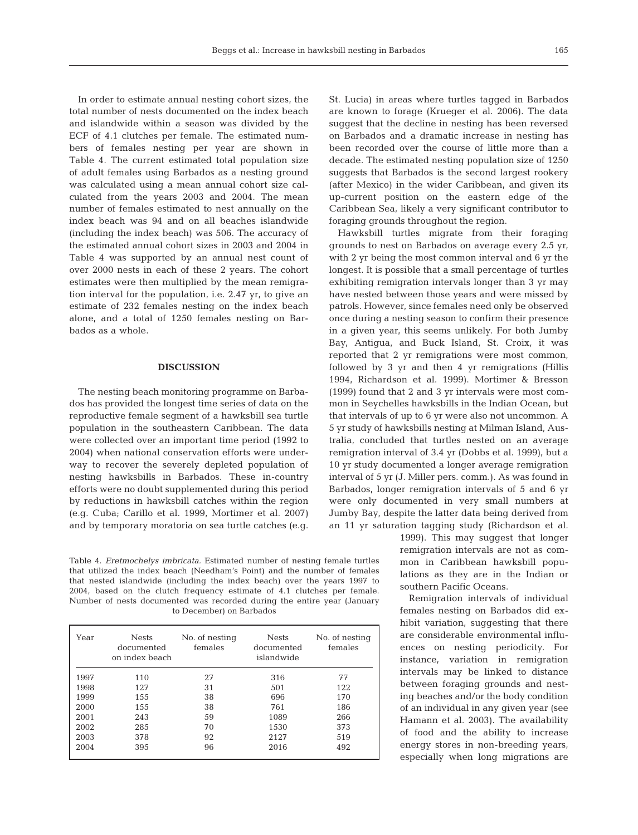In order to estimate annual nesting cohort sizes, the total number of nests documented on the index beach and islandwide within a season was divided by the ECF of 4.1 clutches per female. The estimated numbers of females nesting per year are shown in Table 4. The current estimated total population size of adult females using Barbados as a nesting ground was calculated using a mean annual cohort size calculated from the years 2003 and 2004. The mean number of females estimated to nest annually on the index beach was 94 and on all beaches islandwide (including the index beach) was 506. The accuracy of the estimated annual cohort sizes in 2003 and 2004 in Table 4 was supported by an annual nest count of over 2000 nests in each of these 2 years. The cohort estimates were then multiplied by the mean remigration interval for the population, i.e. 2.47 yr, to give an estimate of 232 females nesting on the index beach alone, and a total of 1250 females nesting on Barbados as a whole.

#### **DISCUSSION**

The nesting beach monitoring programme on Barbados has provided the longest time series of data on the reproductive female segment of a hawksbill sea turtle population in the southeastern Caribbean. The data were collected over an important time period (1992 to 2004) when national conservation efforts were underway to recover the severely depleted population of nesting hawksbills in Barbados. These in-country efforts were no doubt supplemented during this period by reductions in hawksbill catches within the region (e.g. Cuba; Carillo et al. 1999, Mortimer et al. 2007) and by temporary moratoria on sea turtle catches (e.g.

Table 4. *Eretmochelys imbricata.* Estimated number of nesting female turtles that utilized the index beach (Needham's Point) and the number of females that nested islandwide (including the index beach) over the years 1997 to 2004, based on the clutch frequency estimate of 4.1 clutches per female. Number of nests documented was recorded during the entire year (January to December) on Barbados

| Year | <b>Nests</b><br>documented<br>on index beach | No. of nesting<br>females | <b>Nests</b><br>documented<br>islandwide | No. of nesting<br>females |
|------|----------------------------------------------|---------------------------|------------------------------------------|---------------------------|
| 1997 | 110                                          | 27                        | 316                                      | 77                        |
| 1998 | 127                                          | 31                        | 501                                      | 122                       |
| 1999 | 155                                          | 38                        | 696                                      | 170                       |
| 2000 | 155                                          | 38                        | 761                                      | 186                       |
| 2001 | 243                                          | 59                        | 1089                                     | 266                       |
| 2002 | 285                                          | 70                        | 1530                                     | 373                       |
| 2003 | 378                                          | 92                        | 2127                                     | 519                       |
| 2004 | 395                                          | 96                        | 2016                                     | 492                       |

St. Lucia) in areas where turtles tagged in Barbados are known to forage (Krueger et al. 2006). The data suggest that the decline in nesting has been reversed on Barbados and a dramatic increase in nesting has been recorded over the course of little more than a decade. The estimated nesting population size of 1250 suggests that Barbados is the second largest rookery (after Mexico) in the wider Caribbean, and given its up-current position on the eastern edge of the Caribbean Sea, likely a very significant contributor to foraging grounds throughout the region.

Hawksbill turtles migrate from their foraging grounds to nest on Barbados on average every 2.5 yr, with 2 yr being the most common interval and 6 yr the longest. It is possible that a small percentage of turtles exhibiting remigration intervals longer than 3 yr may have nested between those years and were missed by patrols. However, since females need only be observed once during a nesting season to confirm their presence in a given year, this seems unlikely. For both Jumby Bay, Antigua, and Buck Island, St. Croix, it was reported that 2 yr remigrations were most common, followed by 3 yr and then 4 yr remigrations (Hillis 1994, Richardson et al. 1999). Mortimer & Bresson (1999) found that 2 and 3 yr intervals were most common in Seychelles hawksbills in the Indian Ocean, but that intervals of up to 6 yr were also not uncommon. A 5 yr study of hawksbills nesting at Milman Island, Australia, concluded that turtles nested on an average remigration interval of 3.4 yr (Dobbs et al. 1999), but a 10 yr study documented a longer average remigration interval of 5 yr (J. Miller pers. comm.). As was found in Barbados, longer remigration intervals of 5 and 6 yr were only documented in very small numbers at Jumby Bay, despite the latter data being derived from an 11 yr saturation tagging study (Richardson et al.

> 1999). This may suggest that longer remigration intervals are not as common in Caribbean hawksbill populations as they are in the Indian or southern Pacific Oceans.

> Remigration intervals of individual females nesting on Barbados did exhibit variation, suggesting that there are considerable environmental influences on nesting periodicity. For instance, variation in remigration intervals may be linked to distance between foraging grounds and nesting beaches and/or the body condition of an individual in any given year (see Hamann et al. 2003). The availability of food and the ability to increase energy stores in non-breeding years, especially when long migrations are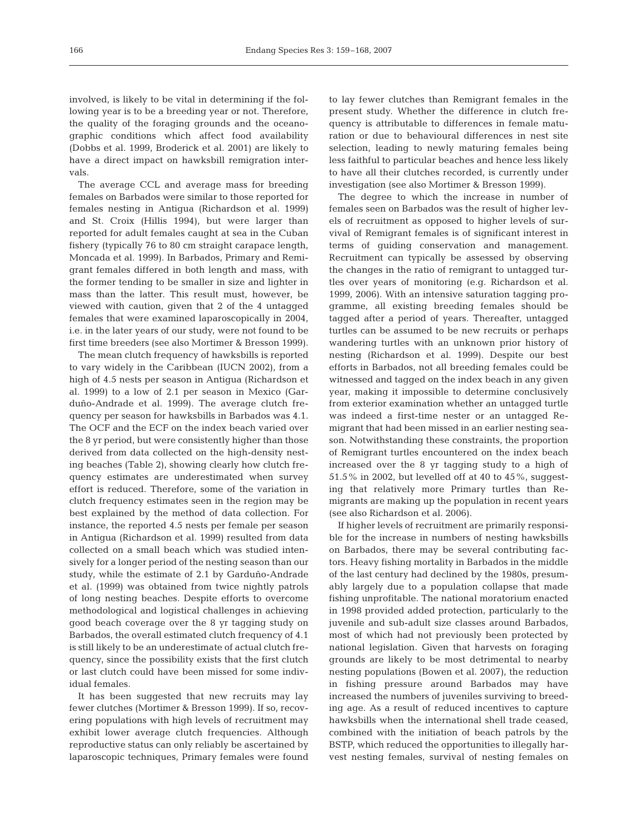involved, is likely to be vital in determining if the following year is to be a breeding year or not. Therefore, the quality of the foraging grounds and the oceanographic conditions which affect food availability (Dobbs et al. 1999, Broderick et al. 2001) are likely to have a direct impact on hawksbill remigration intervals.

The average CCL and average mass for breeding females on Barbados were similar to those reported for females nesting in Antigua (Richardson et al. 1999) and St. Croix (Hillis 1994), but were larger than reported for adult females caught at sea in the Cuban fishery (typically 76 to 80 cm straight carapace length, Moncada et al. 1999). In Barbados, Primary and Remigrant females differed in both length and mass, with the former tending to be smaller in size and lighter in mass than the latter. This result must, however, be viewed with caution, given that 2 of the 4 untagged females that were examined laparoscopically in 2004, i.e. in the later years of our study, were not found to be first time breeders (see also Mortimer & Bresson 1999).

The mean clutch frequency of hawksbills is reported to vary widely in the Caribbean (IUCN 2002), from a high of 4.5 nests per season in Antigua (Richardson et al. 1999) to a low of 2.1 per season in Mexico (Garduño-Andrade et al. 1999). The average clutch frequency per season for hawksbills in Barbados was 4.1. The OCF and the ECF on the index beach varied over the 8 yr period, but were consistently higher than those derived from data collected on the high-density nesting beaches (Table 2), showing clearly how clutch frequency estimates are underestimated when survey effort is reduced. Therefore, some of the variation in clutch frequency estimates seen in the region may be best explained by the method of data collection. For instance, the reported 4.5 nests per female per season in Antigua (Richardson et al. 1999) resulted from data collected on a small beach which was studied intensively for a longer period of the nesting season than our study, while the estimate of 2.1 by Garduño-Andrade et al. (1999) was obtained from twice nightly patrols of long nesting beaches. Despite efforts to overcome methodological and logistical challenges in achieving good beach coverage over the 8 yr tagging study on Barbados, the overall estimated clutch frequency of 4.1 is still likely to be an underestimate of actual clutch frequency, since the possibility exists that the first clutch or last clutch could have been missed for some individual females.

It has been suggested that new recruits may lay fewer clutches (Mortimer & Bresson 1999). If so, recovering populations with high levels of recruitment may exhibit lower average clutch frequencies. Although reproductive status can only reliably be ascertained by laparoscopic techniques, Primary females were found

to lay fewer clutches than Remigrant females in the present study. Whether the difference in clutch frequency is attributable to differences in female maturation or due to behavioural differences in nest site selection, leading to newly maturing females being less faithful to particular beaches and hence less likely to have all their clutches recorded, is currently under investigation (see also Mortimer & Bresson 1999).

The degree to which the increase in number of females seen on Barbados was the result of higher levels of recruitment as opposed to higher levels of survival of Remigrant females is of significant interest in terms of guiding conservation and management. Recruitment can typically be assessed by observing the changes in the ratio of remigrant to untagged turtles over years of monitoring (e.g. Richardson et al. 1999, 2006). With an intensive saturation tagging programme, all existing breeding females should be tagged after a period of years. Thereafter, untagged turtles can be assumed to be new recruits or perhaps wandering turtles with an unknown prior history of nesting (Richardson et al. 1999). Despite our best efforts in Barbados, not all breeding females could be witnessed and tagged on the index beach in any given year, making it impossible to determine conclusively from exterior examination whether an untagged turtle was indeed a first-time nester or an untagged Remigrant that had been missed in an earlier nesting season. Notwithstanding these constraints, the proportion of Remigrant turtles encountered on the index beach increased over the 8 yr tagging study to a high of 51.5% in 2002, but levelled off at 40 to 45%, suggesting that relatively more Primary turtles than Remigrants are making up the population in recent years (see also Richardson et al. 2006).

If higher levels of recruitment are primarily responsible for the increase in numbers of nesting hawksbills on Barbados, there may be several contributing factors. Heavy fishing mortality in Barbados in the middle of the last century had declined by the 1980s, presumably largely due to a population collapse that made fishing unprofitable. The national moratorium enacted in 1998 provided added protection, particularly to the juvenile and sub-adult size classes around Barbados, most of which had not previously been protected by national legislation. Given that harvests on foraging grounds are likely to be most detrimental to nearby nesting populations (Bowen et al. 2007), the reduction in fishing pressure around Barbados may have increased the numbers of juveniles surviving to breeding age. As a result of reduced incentives to capture hawksbills when the international shell trade ceased, combined with the initiation of beach patrols by the BSTP, which reduced the opportunities to illegally harvest nesting females, survival of nesting females on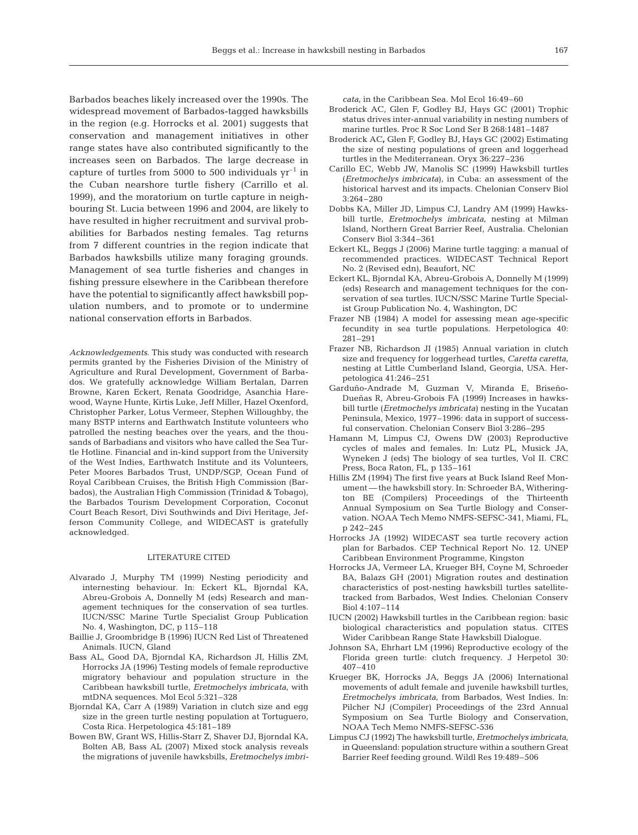Barbados beaches likely increased over the 1990s. The widespread movement of Barbados-tagged hawksbills in the region (e.g. Horrocks et al. 2001) suggests that conservation and management initiatives in other range states have also contributed significantly to the increases seen on Barbados. The large decrease in capture of turtles from 5000 to 500 individuals  $yr^{-1}$  in the Cuban nearshore turtle fishery (Carrillo et al. 1999), and the moratorium on turtle capture in neighbouring St. Lucia between 1996 and 2004, are likely to have resulted in higher recruitment and survival probabilities for Barbados nesting females. Tag returns from 7 different countries in the region indicate that Barbados hawksbills utilize many foraging grounds. Management of sea turtle fisheries and changes in fishing pressure elsewhere in the Caribbean therefore have the potential to significantly affect hawksbill population numbers, and to promote or to undermine national conservation efforts in Barbados.

*Acknowledgements*. This study was conducted with research permits granted by the Fisheries Division of the Ministry of Agriculture and Rural Development, Government of Barbados. We gratefully acknowledge William Bertalan, Darren Browne, Karen Eckert, Renata Goodridge, Asanchia Harewood, Wayne Hunte, Kirtis Luke, Jeff Miller, Hazel Oxenford, Christopher Parker, Lotus Vermeer, Stephen Willoughby, the many BSTP interns and Earthwatch Institute volunteers who patrolled the nesting beaches over the years, and the thousands of Barbadians and visitors who have called the Sea Turtle Hotline. Financial and in-kind support from the University of the West Indies, Earthwatch Institute and its Volunteers, Peter Moores Barbados Trust, UNDP/SGP, Ocean Fund of Royal Caribbean Cruises, the British High Commission (Barbados), the Australian High Commission (Trinidad & Tobago), the Barbados Tourism Development Corporation, Coconut Court Beach Resort, Divi Southwinds and Divi Heritage, Jefferson Community College, and WIDECAST is gratefully acknowledged.

## LITERATURE CITED

- Alvarado J, Murphy TM (1999) Nesting periodicity and internesting behaviour. In: Eckert KL, Bjorndal KA, Abreu-Grobois A, Donnelly M (eds) Research and management techniques for the conservation of sea turtles. IUCN/SSC Marine Turtle Specialist Group Publication No. 4, Washington, DC, p 115–118
- Baillie J, Groombridge B (1996) IUCN Red List of Threatened Animals. IUCN, Gland
- Bass AL, Good DA, Bjorndal KA, Richardson JI, Hillis ZM, Horrocks JA (1996) Testing models of female reproductive migratory behaviour and population structure in the Caribbean hawksbill turtle, *Eretmochelys imbricata*, with mtDNA sequences. Mol Ecol 5:321–328
- Bjorndal KA, Carr A (1989) Variation in clutch size and egg size in the green turtle nesting population at Tortuguero, Costa Rica. Herpetologica 45:181–189
- Bowen BW, Grant WS, Hillis-Starr Z, Shaver DJ, Bjorndal KA, Bolten AB, Bass AL (2007) Mixed stock analysis reveals the migrations of juvenile hawksbills, *Eretmochelys imbri-*

*cata*, in the Caribbean Sea. Mol Ecol 16:49–60

- Broderick AC, Glen F, Godley BJ, Hays GC (2001) Trophic status drives inter-annual variability in nesting numbers of marine turtles. Proc R Soc Lond Ser B 268:1481–1487
- Broderick AC**,** Glen F, Godley BJ, Hays GC (2002) Estimating the size of nesting populations of green and loggerhead turtles in the Mediterranean. Oryx 36:227–236
- Carillo EC, Webb JW, Manolis SC (1999) Hawksbill turtles (*Eretmochelys imbricata*), in Cuba: an assessment of the historical harvest and its impacts. Chelonian Conserv Biol 3:264–280
- Dobbs KA, Miller JD, Limpus CJ, Landry AM (1999) Hawksbill turtle, *Eretmochelys imbricata*, nesting at Milman Island, Northern Great Barrier Reef, Australia. Chelonian Conserv Biol 3:344–361
- Eckert KL, Beggs J (2006) Marine turtle tagging: a manual of recommended practices. WIDECAST Technical Report No. 2 (Revised edn), Beaufort, NC
- Eckert KL, Bjorndal KA, Abreu-Grobois A, Donnelly M (1999) (eds) Research and management techniques for the conservation of sea turtles. IUCN/SSC Marine Turtle Specialist Group Publication No. 4, Washington, DC
- Frazer NB (1984) A model for assessing mean age-specific fecundity in sea turtle populations. Herpetologica 40: 281–291
- Frazer NB, Richardson JI (1985) Annual variation in clutch size and frequency for loggerhead turtles, *Caretta caretta*, nesting at Little Cumberland Island, Georgia, USA. Herpetologica 41:246–251
- Garduño-Andrade M, Guzman V, Miranda E, Briseño-Dueñas R, Abreu-Grobois FA (1999) Increases in hawksbill turtle (*Eretmochelys imbricata*) nesting in the Yucatan Peninsula, Mexico, 1977–1996: data in support of successful conservation. Chelonian Conserv Biol 3:286–295
- Hamann M, Limpus CJ, Owens DW (2003) Reproductive cycles of males and females. In: Lutz PL, Musick JA, Wyneken J (eds) The biology of sea turtles, Vol II. CRC Press, Boca Raton, FL, p 135–161
- Hillis ZM (1994) The first five years at Buck Island Reef Monument — the hawksbill story. In: Schroeder BA, Witherington BE (Compilers) Proceedings of the Thirteenth Annual Symposium on Sea Turtle Biology and Conservation. NOAA Tech Memo NMFS-SEFSC-341, Miami, FL, p 242–245
- Horrocks JA (1992) WIDECAST sea turtle recovery action plan for Barbados. CEP Technical Report No. 12. UNEP Caribbean Environment Programme, Kingston
- Horrocks JA, Vermeer LA, Krueger BH, Coyne M, Schroeder BA, Balazs GH (2001) Migration routes and destination characteristics of post-nesting hawksbill turtles satellitetracked from Barbados, West Indies. Chelonian Conserv Biol 4:107–114
- IUCN (2002) Hawksbill turtles in the Caribbean region: basic biological characteristics and population status. CITES Wider Caribbean Range State Hawksbill Dialogue.
- Johnson SA, Ehrhart LM (1996) Reproductive ecology of the Florida green turtle: clutch frequency. J Herpetol 30: 407–410
- Krueger BK, Horrocks JA, Beggs JA (2006) International movements of adult female and juvenile hawksbill turtles, *Eretmochelys imbricata*, from Barbados, West Indies. In: Pilcher NJ (Compiler) Proceedings of the 23rd Annual Symposium on Sea Turtle Biology and Conservation, NOAA Tech Memo NMFS-SEFSC-536
- Limpus CJ (1992) The hawksbill turtle, *Eretmochelys imbricata*, in Queensland: population structure within a southern Great Barrier Reef feeding ground. Wildl Res 19:489–506